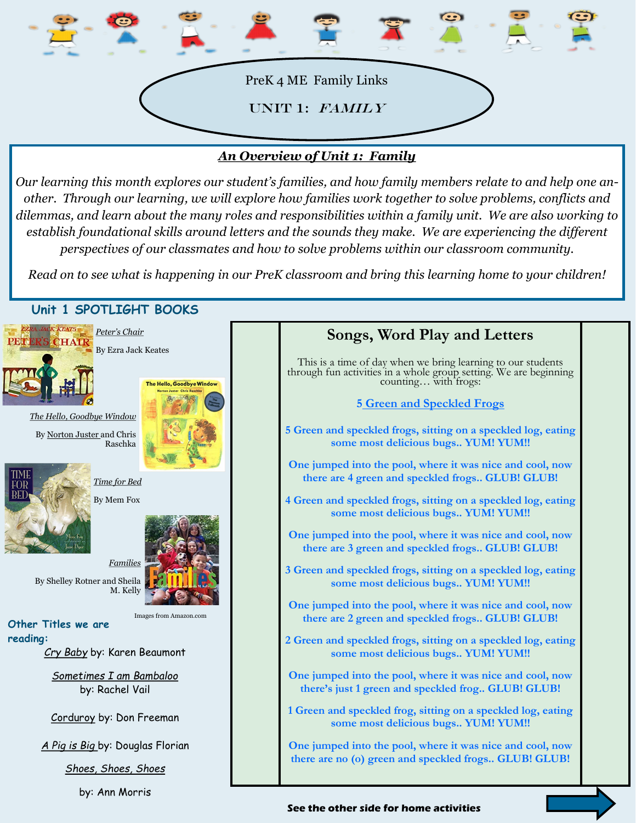

## *An Overview of Unit 1: Family*

*Our learning this month explores our student's families, and how family members relate to and help one another. Through our learning, we will explore how families work together to solve problems, conflicts and dilemmas, and learn about the many roles and responsibilities within a family unit. We are also working to establish foundational skills around letters and the sounds they make. We are experiencing the different perspectives of our classmates and how to solve problems within our classroom community.* 

*Read on to see what is happening in our PreK classroom and bring this learning home to your children!*



by: Ann Morris

## **Songs, Word Play and Letters** This is a time of day when we bring learning to our students through fun activities in a whole group setting. We are beginning counting… with frogs: **5 Green and Speckled Frogs 5 Green and speckled frogs, sitting on a speckled log, eating some most delicious bugs.. YUM! YUM!! One jumped into the pool, where it was nice and cool, now there are 4 green and speckled frogs.. GLUB! GLUB! 4 Green and speckled frogs, sitting on a speckled log, eating some most delicious bugs.. YUM! YUM!! One jumped into the pool, where it was nice and cool, now there are 3 green and speckled frogs.. GLUB! GLUB! 3 Green and speckled frogs, sitting on a speckled log, eating some most delicious bugs.. YUM! YUM!! One jumped into the pool, where it was nice and cool, now there are 2 green and speckled frogs.. GLUB! GLUB! 2 Green and speckled frogs, sitting on a speckled log, eating some most delicious bugs.. YUM! YUM!! One jumped into the pool, where it was nice and cool, now there's just 1 green and speckled frog.. GLUB! GLUB! 1 Green and speckled frog, sitting on a speckled log, eating some most delicious bugs.. YUM! YUM!! One jumped into the pool, where it was nice and cool, now there are no (o) green and speckled frogs.. GLUB! GLUB!**

#### **See the other side for home activities**